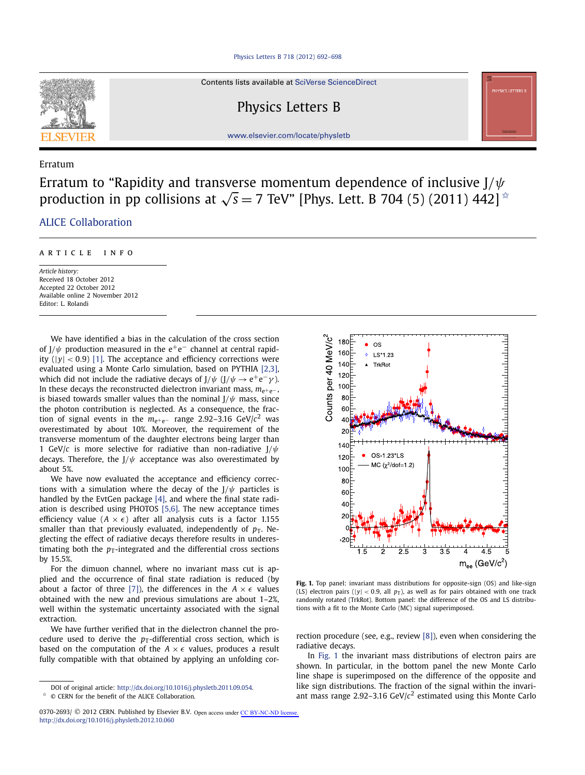

Contents lists available at [SciVerse ScienceDirect](http://www.ScienceDirect.com/)

Physics Letters B

[www.elsevier.com/locate/physletb](http://www.elsevier.com/locate/physletb)

## Erratum

Erratum to "Rapidity and transverse momentum dependence of inclusive J*/ψ* production in pp collisions at  $\sqrt{s}$  = 7 TeV" [Phys. Lett. B 704 (5) (2011) 442]  $\star$ 

# [.ALICE Collaboration](#page-1-0)

### article info

*Article history:* Received 18 October 2012 Accepted 22 October 2012 Available online 2 November 2012 Editor: L. Rolandi

We have identified a bias in the calculation of the cross section of  $J/\psi$  production measured in the e<sup>+</sup>e<sup>-</sup> channel at central rapidity  $(|y| < 0.9)$  [\[1\].](#page-1-0) The acceptance and efficiency corrections were evaluated using a Monte Carlo simulation, based on PYTHIA [\[2,3\],](#page-1-0) which did not include the radiative decays of  $J/\psi$  ( $J/\psi \rightarrow e^+e^-\gamma$ ). In these decays the reconstructed dielectron invariant mass, *m*e+e<sup>−</sup> , is biased towards smaller values than the nominal  $J/\psi$  mass, since the photon contribution is neglected. As a consequence, the fraction of signal events in the *m*e+e<sup>−</sup> range 2.92–3.16 GeV/*c*<sup>2</sup> was overestimated by about 10%. Moreover, the requirement of the transverse momentum of the daughter electrons being larger than 1 GeV/*c* is more selective for radiative than non-radiative J*/ψ* decays. Therefore, the J*/ψ* acceptance was also overestimated by about 5%.

We have now evaluated the acceptance and efficiency corrections with a simulation where the decay of the J*/ψ* particles is handled by the EvtGen package [\[4\],](#page-1-0) and where the final state radiation is described using PHOTOS [\[5,6\].](#page-1-0) The new acceptance times efficiency value  $(A \times \epsilon)$  after all analysis cuts is a factor 1.155 smaller than that previously evaluated, independently of  $p<sub>T</sub>$ . Neglecting the effect of radiative decays therefore results in underestimating both the  $p_T$ -integrated and the differential cross sections by 15.5%.

For the dimuon channel, where no invariant mass cut is applied and the occurrence of final state radiation is reduced (by about a factor of three [\[7\]\)](#page-1-0), the differences in the  $A \times \epsilon$  values obtained with the new and previous simulations are about 1–2%, well within the systematic uncertainty associated with the signal extraction.

We have further verified that in the dielectron channel the procedure used to derive the  $p_T$ -differential cross section, which is based on the computation of the  $A \times \epsilon$  values, produces a result fully compatible with that obtained by applying an unfolding cor-



Fig. 1. Top panel: invariant mass distributions for opposite-sign (OS) and like-sign (LS) electron pairs ( $|y| < 0.9$ , all  $p<sub>T</sub>$ ), as well as for pairs obtained with one track randomly rotated (TrkRot). Bottom panel: the difference of the OS and LS distributions with a fit to the Monte Carlo (MC) signal superimposed.

rection procedure (see, e.g., review [\[8\]\)](#page-1-0), even when considering the radiative decays.

In Fig. 1 the invariant mass distributions of electron pairs are shown. In particular, in the bottom panel the new Monte Carlo line shape is superimposed on the difference of the opposite and like sign distributions. The fraction of the signal within the invariant mass range 2.92–3.16 GeV/ $c^2$  estimated using this Monte Carlo

DOI of original article: <http://dx.doi.org/10.1016/j.physletb.2011.09.054>.

<sup>✩</sup> © CERN for the benefit of the ALICE Collaboration.

<sup>0370-2693/ © 2012</sup> CERN. Published by Elsevier B.V. Open access under [CC BY-NC-ND license.](http://creativecommons.org/licenses/by-nc-nd/4.0/) <http://dx.doi.org/10.1016/j.physletb.2012.10.060>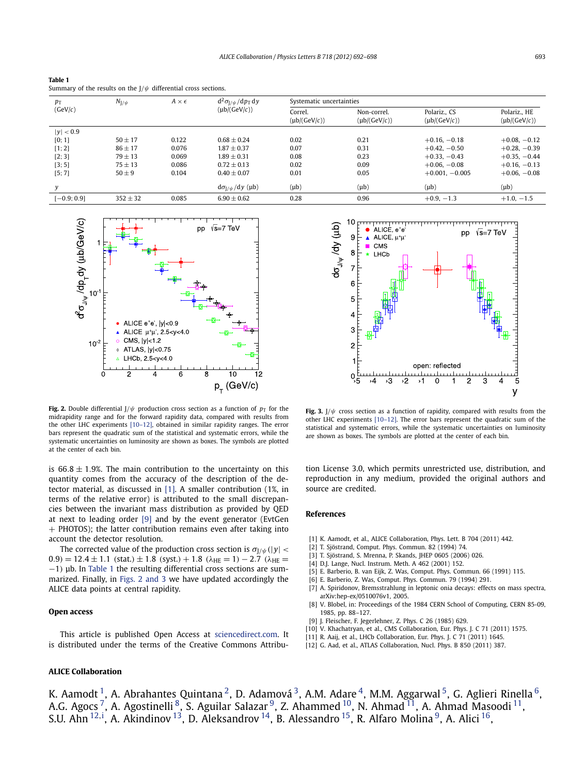<span id="page-1-0"></span>**Table 1** Summary of the results on the J*/ψ* differential cross sections.

| $p_{\rm T}$<br>(GeV/c) | $N_{J/\psi}$ | $A \times \epsilon$ | $d^2\sigma_{1/\psi}/dp_T dy$<br>$(\mu b/(GeV/c))$ | Systematic uncertainties     |                                  |                                 |                                   |
|------------------------|--------------|---------------------|---------------------------------------------------|------------------------------|----------------------------------|---------------------------------|-----------------------------------|
|                        |              |                     |                                                   | Correl.<br>$(\mu b/(GeV/c))$ | Non-correl.<br>$(\mu b/(GeV/c))$ | Polariz CS<br>$(\mu b/(GeV/c))$ | Polariz., HE<br>$(\mu b/(GeV/c))$ |
| $ y $ < 0.9            |              |                     |                                                   |                              |                                  |                                 |                                   |
| [0; 1]                 | $50 + 17$    | 0.122               | $0.68 + 0.24$                                     | 0.02                         | 0.21                             | $+0.16, -0.18$                  | $+0.08, -0.12$                    |
| [1; 2]                 | $86 \pm 17$  | 0.076               | $1.87 + 0.37$                                     | 0.07                         | 0.31                             | $+0.42, -0.50$                  | $+0.28, -0.39$                    |
| [2; 3]                 | $79 + 13$    | 0.069               | $1.89 \pm 0.31$                                   | 0.08                         | 0.23                             | $+0.33, -0.43$                  | $+0.35, -0.44$                    |
| [3; 5]                 | $75 + 13$    | 0.086               | $0.72 + 0.13$                                     | 0.02                         | 0.09                             | $+0.06, -0.08$                  | $+0.16, -0.13$                    |
| [5; 7]                 | $50 \pm 9$   | 0.104               | $0.40 + 0.07$                                     | 0.01                         | 0.05                             | $+0.001, -0.005$                | $+0.06, -0.08$                    |
| v                      |              |                     | $d\sigma_{1/\psi}/dy$ (µb)                        | $(\mu b)$                    | $(\mu b)$                        | $(\mu b)$                       | $(\mu b)$                         |
| $[-0.9; 0.9]$          | $352 \pm 32$ | 0.085               | $6.90 \pm 0.62$                                   | 0.28                         | 0.96                             | $+0.9, -1.3$                    | $+1.0, -1.5$                      |



**Fig. 2.** Double differential  $J/\psi$  production cross section as a function of  $p<sub>T</sub>$  for the midrapidity range and for the forward rapidity data, compared with results from the other LHC experiments [10–12], obtained in similar rapidity ranges. The error bars represent the quadratic sum of the statistical and systematic errors, while the systematic uncertainties on luminosity are shown as boxes. The symbols are plotted at the center of each bin.

is  $66.8 \pm 1.9$ %. The main contribution to the uncertainty on this quantity comes from the accuracy of the description of the detector material, as discussed in [1]. A smaller contribution (1%, in terms of the relative error) is attributed to the small discrepancies between the invariant mass distribution as provided by QED at next to leading order [9] and by the event generator (EvtGen + PHOTOS); the latter contribution remains even after taking into account the detector resolution.

The corrected value of the production cross section is  $\sigma_{1/\psi}(|y| < \pi$  $(0.9) = 12.4 \pm 1.1$  *(stat.)*  $\pm 1.8$  *(syst.)* + 1.8  $(\lambda_{HF} = 1) - 2.7$   $(\lambda_{HF} = 1)$ −1*)* μb. In Table 1 the resulting differential cross sections are summarized. Finally, in Figs. 2 and 3 we have updated accordingly the ALICE data points at central rapidity.

#### **Open access**

This article is published Open Access at [sciencedirect.com.](http://www.sciencedirect.com) It is distributed under the terms of the Creative Commons Attribu-

## **ALICE Collaboration**



**Fig. 3.** J*/ψ* cross section as a function of rapidity, compared with results from the other LHC experiments [10–12]. The error bars represent the quadratic sum of the statistical and systematic errors, while the systematic uncertainties on luminosity are shown as boxes. The symbols are plotted at the center of each bin.

tion License 3.0, which permits unrestricted use, distribution, and reproduction in any medium, provided the original authors and source are credited.

#### **References**

- [1] K. Aamodt, et al., ALICE Collaboration, Phys. Lett. B 704 (2011) 442.
- [2] T. Sjöstrand, Comput. Phys. Commun. 82 (1994) 74.
- [3] T. Sjöstrand, S. Mrenna, P. Skands, JHEP 0605 (2006) 026.
- [4] D.J. Lange, Nucl. Instrum. Meth. A 462 (2001) 152.
- [5] E. Barberio, B. van Eijk, Z. Was, Comput. Phys. Commun. 66 (1991) 115.
- [6] E. Barberio, Z. Was, Comput. Phys. Commun. 79 (1994) 291.
- [7] A. Spiridonov, Bremsstrahlung in leptonic onia decays: effects on mass spectra, arXiv:hep-ex/0510076v1, 2005.
- [8] V. Blobel, in: Proceedings of the 1984 CERN School of Computing, CERN 85-09, 1985, pp. 88–127.
- [9] J. Fleischer, F. Jegerlehner, Z. Phys. C 26 (1985) 629.
- [10] V. Khachatryan, et al., CMS Collaboration, Eur. Phys. J. C 71 (2011) 1575.
- [11] R. Aaij, et al., LHCb Collaboration, Eur. Phys. J. C 71 (2011) 1645.
- [12] G. Aad, et al., ATLAS Collaboration, Nucl. Phys. B 850 (2011) 387.

K. Aamodt <sup>1</sup>, A. Abrahantes Quintana <sup>2</sup>, D. Adamová <sup>3</sup>, A.M. Adare <sup>[4](#page-4-0)</sup>, M.M. Aggarwal <sup>5</sup>, G. Aglieri Rinella <sup>6</sup>, A.G. Agocs <sup>7</sup>, A. Agostinelli  $^8$  $^8$ , S. Aguilar Salazar  $^9$  $^9$ , Z. Ahammed  $^{10}$ , N. Ahmad  $^{11}$ , A. Ahmad Masoodi  $^{11},$ S.U. Ahn <sup>[12](#page-4-0), [i](#page-6-0)</sup>, A. Akindinov <sup>13</sup>, D. Aleksandrov <sup>14</sup>, B. Alessandro <sup>15</sup>, R. Alfaro Molina <sup>[9](#page-4-0)</sup>, A. Alici <sup>[16](#page-4-0)</sup>,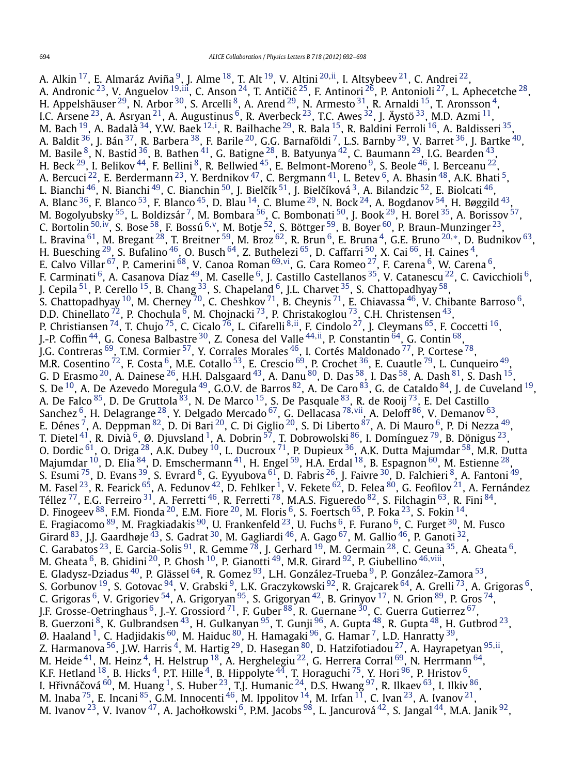A. Alkin [17,](#page-4-0) E. Almaráz Aviña [9,](#page-4-0) J. Alme [18,](#page-4-0) T. Alt [19,](#page-4-0) V. Altini [20](#page-4-0)*,*[ii,](#page-6-0) I. Altsybeev [21,](#page-4-0) C. Andrei [22,](#page-4-0) A. Andronic <sup>23</sup>, V. Anguelov <sup>[19](#page-4-0),iii</sup>, C. Anson <sup>24</sup>, T. Antičić <sup>25</sup>, F. Antinori <sup>26</sup>, P. Antonioli <sup>[27](#page-4-0)</sup>, L. Aphecetche <sup>28</sup>, H. Appelshäuser  $^{29}$ , N. Arbor  $^{30}$ , S. Arcelli  $^8$ , A. Arend  $^{29}$ , N. Armesto  $^{31}$  $^{31}$  $^{31}$ , R. Arnaldi  $^{15}$ , T. Aronsson  $^4$  $^4$ , I.C. Arsene $^{23}$ , A. Asryan $^{21}$ , A. Augustinus  $^6$ , R. Averbeck $^{23}$ , T.C. Awes  $^{32}$ , J. Äystö  $^{33}$ , M.D. Azmi  $^{11}$ , M. Bach <sup>19</sup>, A. Badalà <sup>34</sup>, Y.W. Baek <sup>[12](#page-4-0),[i](#page-6-0)</sup>, R. Bailhache <sup>29</sup>, R. Bala <sup>15</sup>, R. Baldini Ferroli <sup>16</sup>, A. Baldisseri <sup>35</sup>, A. Baldit <sup>36</sup>, J. Bán <sup>37</sup>, R. Barbera <sup>38</sup>, F. Barile <sup>20</sup>, G.G. Barnaföldi <sup>7</sup>, L.S. Barnby <sup>39</sup>, V. Barret <sup>36</sup>, J. Bartke <sup>40</sup>, M. Basile  $^8$ , N. Bastid  $^{36}$ , B. Bathen  $^{41}$ , G. Batigne  $^{28}$ , B. Batyunya  $^{42}$ , C. Baumann  $^{29}$ , I.G. Bearden  $^{43}$ , H. Beck  $^{29}$ , I. Belikov  $^{44}$ , F. Bellini  $^8$  $^8$ , R. Bellwied  $^{45}$ , E. Belmont-Moreno  $^9$ , S. Beole  $^{46}$ , I. Berceanu  $^{22}$ , A. Bercuci <sup>22</sup>, E. Berdermann <sup>23</sup>, Y. Berdnikov <sup>47</sup>, C. Bergmann <sup>41</sup>, L. Betev <sup>6</sup>, A. Bhasin <sup>48</sup>, A.K. Bhati <sup>5</sup>, L. Bianchi <sup>[46](#page-5-0)</sup>, N. Bianchi <sup>[49](#page-5-0)</sup>, C. Bianchin <sup>50</sup>, J. Bielčík <sup>51</sup>, J. Bielčíková <sup>3</sup>, A. Bilandzic <sup>52</sup>, E. Biolcati <sup>46</sup>, A. Blanc  $^{36}$ , F. Blanco  $^{53}$  $^{53}$  $^{53}$ , F. Blanco  $^{45}$ , D. Blau  $^{14}$ , C. Blume  $^{29}$ , N. Bock  $^{24}$ , A. Bogdanov  $^{54}$ , H. Bøggild  $^{43}$  $^{43}$  $^{43}$ , M. Bogolyubsky <sup>55</sup>, L. Boldizsár <sup>[7](#page-4-0)</sup>, M. Bombara <sup>56</sup>, C. Bombonati <sup>50</sup>, J. Book <sup>29</sup>, H. Borel <sup>[35](#page-5-0)</sup>, A. Borissov <sup>57</sup>, C. Bortolin [50](#page-5-0)*,*[iv,](#page-6-0) S. Bose [58,](#page-5-0) F. Bossú [6](#page-4-0)*,*[v,](#page-6-0) M. Botje [52,](#page-5-0) S. Böttger [59,](#page-5-0) B. Boyer [60,](#page-5-0) P. Braun-Munzinger [23,](#page-4-0) L. Bravina [61,](#page-5-0) M. Bregant [28,](#page-4-0) T. Breitner [59,](#page-5-0) M. Broz [62,](#page-5-0) R. Brun [6,](#page-4-0) E. Bruna [4,](#page-4-0) G.E. Bruno [20](#page-4-0)*,*[∗](#page-6-0), D. Budnikov [63,](#page-5-0) H. Buesching  $^{29}$ , S. Bufalino  $^{46}$ , O. Busch  $^{64}$ , Z. Buthelezi  $^{65}$ , D. Caffarri  $^{50}$ , X. Cai  $^{66}$  $^{66}$  $^{66}$ , H. Caines  $^4$ , E. Calvo Villar [67,](#page-5-0) P. Camerini [68,](#page-5-0) V. Canoa Roman [69](#page-5-0)*,*[vi,](#page-6-0) G. Cara Romeo [27,](#page-4-0) F. Carena [6](#page-4-0), W. Carena [6,](#page-4-0) F. Carminati  $^6$ , A. Casanova Díaz $^{\,49}$  $^{\,49}$  $^{\,49}$ , M. Caselle  $^6$ , J. Castillo Castellanos  $^{35}$ , V. Catanescu  $^{22}$ , C. Cavicchioli  $^6$ , J. Cepila  $^{51}$ , P. Cerello  $^{15}$ , B. Chang  $^{33}$ , S. Chapeland  $^6$ , J.L. Charvet  $^{35}$ , S. Chattopadhyay  $^{58}$ , S. Chattopadhyay  $^{10}$  $^{10}$  $^{10}$ , M. Cherney  $^{70}$ , C. Cheshkov  $^{71}$ , B. Cheynis  $^{71}$ , E. Chiavassa  $^{46}$ , V. Chibante Barroso  $^6$ , D.D. Chinellato  $^{72}$ , P. Chochula  $^6$ , M. Chojnacki  $^{73}$ , P. Christakoglou  $^{73}$ , C.H. Christensen  $^{43}$ , P. Christiansen [74,](#page-5-0) T. Chujo [75,](#page-5-0) C. Cicalo [76,](#page-5-0) L. Cifarelli [8](#page-4-0)*,*[ii,](#page-6-0) F. Cindolo [27](#page-4-0), J. Cleymans [65,](#page-5-0) F. Coccetti [16,](#page-4-0) J.-P. Coffin [44,](#page-5-0) G. Conesa Balbastre [30,](#page-4-0) Z. Conesa del Valle [44](#page-5-0)*,*[ii,](#page-6-0) P. Constantin [64,](#page-5-0) G. Contin [68,](#page-5-0) J.G. Contreras  $^{69}$ , T.M. Cormier  $^{57}$ , Y. Corrales Morales  $^{46}$ , I. Cortés Maldonado  $^{77}$ , P. Cortese  $^{78},$ M.R. Cosentino  $^{72}$ , F. Costa  $^6$ , M.E. Cotallo  $^{53}$ , E. Crescio  $^{69}$ , P. Crochet  $^{36}$ , E. Cuautle  $^{79}$ , L. Cunqueiro  $^{49}$ , G. D Erasmo  $^{20}$ , A. Dainese  $^{26}$ , H.H. Dalsgaard  $^{43}$ , A. Danu  $^{80}$ , D. Das  $^{58}$ , I. Das  $^{58}$ , A. Dash  $^{81}$ , S. Dash  $^{15}$ , S. De  $^{10}$ , A. De Azevedo Moregula  $^{49}$ , G.O.V. de Barros  $^{82}$ , A. De Caro  $^{83}$ , G. de Cataldo  $^{84}$ , J. de Cuveland  $^{19}$ , A. De Falco <sup>85</sup>, D. De Gruttola <sup>[83](#page-5-0)</sup>, N. De Marco <sup>15</sup>, S. De Pasquale <sup>83</sup>, R. de Rooij <sup>73</sup>, E. Del Castillo Sanchez [6,](#page-4-0) H. Delagrange [28,](#page-4-0) Y. Delgado Mercado [67,](#page-5-0) G. Dellacasa [78](#page-5-0)*,*[vii,](#page-6-0) A. Deloff [86,](#page-5-0) V. Demanov [63,](#page-5-0) E. Dénes <sup>7</sup>, A. Deppman  $^{82}$ , D. Di Bari  $^{20}$ , C. Di Giglio  $^{20}$ , S. Di Liberto  $^{87}$ , A. Di Mauro  $^6$ , P. Di Nezza  $^{49}$ , T. Dietel  $^{41}$  $^{41}$  $^{41}$ , R. Divià  $^6$ , Ø. Djuvsland  $^1$ , A. Dobrin  $^{57}$ , T. Dobrowolski  $^{86}$ , I. Domínguez  $^{79}$ , B. Dönigus  $^{23}$ , O. Dordic  $^{61}$ , O. Driga  $^{28}$ , A.K. Dubey  $^{10}$ , L. Ducroux  $^{71}$ , P. Dupieux  $^{36}$ , A.K. Dutta Majumdar  $^{58}$ , M.R. Dutta Majumdar  $^{10}$ , D. Elia  $^{84}$ , D. Emschermann  $^{41}$ , H. Engel  $^{59}$ , H.A. Erdal  $^{18}$ , B. Espagnon  $^{60}$ , M. Estienne  $^{28},$ S. Esumi <sup>75</sup>, D. Evans <sup>39</sup>, S. Evrard <sup>6</sup>, G. Eyyubova <sup>61</sup>, D. Fabris <sup>26</sup>, J. Faivre <sup>30</sup>, D. Falchieri <sup>8</sup>, A. Fantoni <sup>49</sup>, M. Fasel  $^{23}$ , R. Fearick  $^{65}$  $^{65}$  $^{65}$ , A. Fedunov  $^{42}$  $^{42}$  $^{42}$ , D. Fehlker  $^1$ , V. Fekete  $^{62}$ , D. Felea  $^{80}$  $^{80}$  $^{80}$ , G. Feofilov  $^{21}$ , A. Fernández Téllez  $^{77}$  $^{77}$  $^{77}$ , E.G. Ferreiro  $^{31}$ , A. Ferretti  $^{46}$  $^{46}$  $^{46}$ , R. Ferretti  $^{78}$ , M.A.S. Figueredo  $^{82}$ , S. Filchagin  $^{63}$ , R. Fini  $^{84}$ , D. Finogeev  $^{88}$ , F.M. Fionda  $^{20}$ , E.M. Fiore  $^{20}$ , M. Floris  $^6$ , S. Foertsch  $^{65}$ , P. Foka  $^{23}$ , S. Fokin  $^{14}$ , E. Fragiacomo  $^{89}$ , M. Fragkiadakis  $^{90}$ , U. Frankenfeld  $^{23}$ , U. Fuchs  $^6$ , F. Furano  $^6$ , C. Furget  $^{30}$ , M. Fusco Girard  $^{83}$ , J.J. Gaardhøje  $^{43}$ , S. Gadrat  $^{30}$ , M. Gagliardi  $^{46}$ , A. Gago  $^{67}$ , M. Gallio  $^{46}$ , P. Ganoti  $^{32}$ , C. Garabatos  $^{23}$ , E. Garcia-Solis  $^{91}$ , R. Gemme  $^{78}$ , J. Gerhard  $^{19}$  $^{19}$  $^{19}$ , M. Germain  $^{28}$ , C. Geuna  $^{35}$ , A. Gheata  $^6$ , M. Gheata <sup>6</sup>, B. Ghidini <sup>20</sup>, P. Ghosh <sup>10</sup>, P. Gianotti <sup>49</sup>, M.R. Girard <sup>92</sup>, P. Giubellino <sup>4[6,](#page-4-0) viii</sup>, E. Gladysz-Dziadus [40,](#page-5-0) P. Glässel [64,](#page-5-0) R. Gomez [93,](#page-5-0) L.H. González-Trueba [9,](#page-4-0) P. González-Zamora [53,](#page-5-0) S. Gorbunov  $^{19}$ , S. Gotovac  $^{94}$ , V. Grabski  $^9$ , L.K. Graczykowski  $^{92}$ , R. Grajcarek  $^{64}$ , A. Grelli  $^{73}$ , A. Grigoras  $^6$ , C. Grigoras  $^6$ , V. Grigoriev  $^{54}$ , A. Grigoryan  $^{95}$ , S. Grigoryan  $^{42}$  $^{42}$  $^{42}$ , B. Grinyov  $^{17}$ , N. Grion  $^{89}$ , P. Gros  $^{74}$  $^{74}$  $^{74}$ , J.F. Grosse-Oetringhaus  $^6$ , J.-Y. Grossiord  $^{71}$ , F. Guber  $^{88}$  $^{88}$  $^{88}$ , R. Guernane  $^{30}$ , C. Guerra Gutierrez  $^{67},$ B. Guerzoni $^8$  $^8$ , K. Gulbrandsen $^{43}$ , H. Gulkanyan $^{95}$ , T. Gunji $^{96}$ , A. Gupta $^{48}$ , R. Gupta $^{48}$ , H. Gutbrod $^{23}$ , Ø. Haaland <sup>1</sup>, C. Hadjidakis  $^{60}$ , M. Haiduc  $^{80}$ , H. Hamagaki  $^{96}$ , G. Hamar  $^7$ , L.D. Hanratty  $^{39}$ , Z. Harmanova [56,](#page-5-0) J.W. Harris [4,](#page-4-0) M. Hartig [29,](#page-4-0) D. Hasegan [80,](#page-5-0) D. Hatzifotiadou [27,](#page-4-0) A. Hayrapetyan [95](#page-5-0)*,*[ii,](#page-6-0) M. Heide  $^{41}$ , M. Heinz  $^4$ , H. Helstrup  $^{18}$ , A. Herghelegiu  $^{22}$ , G. Herrera Corral  $^{69}$ , N. Herrmann  $^{64}$ , K.F. Hetland  $^{18}$ , B. Hicks  $^4$ , P.T. Hille  $^4$ , B. Hippolyte  $^{44}$ , T. Horaguchi  $^{75}$ , Y. Hori  $^{96}$ , P. Hristov  $^6$ , I. Hřivnáčová  $^{60}$ , M. Huang  $^1$ , S. Huber  $^{23}$ , T.J. Humanic  $^{24}$ , D.S. Hwang  $^{97}$ , R. Ilkaev  $^{63}$ , I. Ilkiv  $^{86}$ , M. Inaba  $^{75}$ , E. Incani  $^{85}$ , G.M. Innocenti  $^{46}$ , M. Ippolitov  $^{14}$ , M. Irfan  $^{11}$ , C. Ivan  $^{23}$ , A. Ivanov  $^{21}$ , M. Ivanov  $^{23}$ , V. Ivanov  $^{47}$ , A. Jachołkowski  $^6$ , P.M. Jacobs  $^{98}$  $^{98}$  $^{98}$ , L. Jancurová  $^{42}$ , S. Jangal  $^{44}$ , M.A. Janik  $^{92}$  $^{92}$  $^{92}$ ,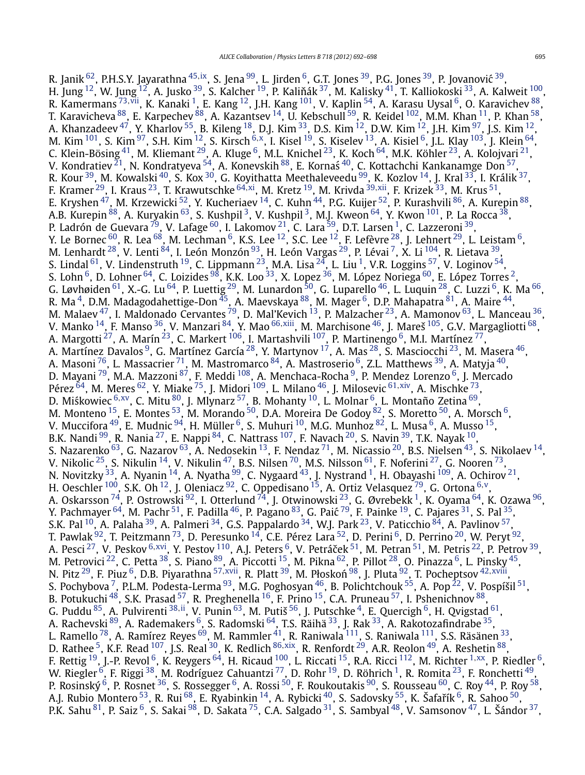R. Janik [62,](#page-5-0) P.H.S.Y. Jayarathna [45](#page-5-0)*,*[ix,](#page-6-0) S. Jena [99,](#page-5-0) L. Jirden [6,](#page-4-0) G.T. Jones [39,](#page-5-0) P.G. Jones [39,](#page-5-0) P. Jovanovic´ [39,](#page-5-0) H. Jung  $^{12}$ , W. Jung  $^{12}$ , A. Jusko  $^{39}$ , S. Kalcher  $^{19}$  $^{19}$  $^{19}$ , P. Kaliňák  $^{37}$ , M. Kalisky  $^{41}$ , T. Kalliokoski  $^{33}$ , A. Kalweit  $^{100}$ , R. Kamermans <sup>[73](#page-5-0),vii</sup>, K. Kanaki <sup>1</sup>, E. Kang <sup>12</sup>, J.H. Kang <sup>101</sup>, V. Kaplin <sup>[54](#page-5-0)</sup>, A. Karasu Uysal <sup>6</sup>, O. Karavichev <sup>88</sup>, T. Karavicheva  $^{88}$ , E. Karpechev  $^{88}$ , A. Kazantsev  $^{14}$ , U. Kebschull  $^{59}$ , R. Keidel  $^{102}$ , M.M. Khan  $^{11}$ , P. Khan  $^{58}$ , A. Khanzadeev  $^{47}$ , Y. Kharlov  $^{55}$ , B. Kileng  $^{18}$  $^{18}$  $^{18}$ , D.J. Kim  $^{33}$ , D.S. Kim  $^{12}$ , D.W. Kim  $^{12}$ , J.H. Kim  $^{97}$ , J.S. Kim  $^{12}$ , M. Kim [101,](#page-5-0) S. Kim [97,](#page-5-0) S.H. Kim [12,](#page-4-0) S. Kirsch [6](#page-4-0)*,*[x,](#page-6-0) I. Kisel [19,](#page-4-0) S. Kiselev [13,](#page-4-0) A. Kisiel [6,](#page-4-0) J.L. Klay [103,](#page-5-0) J. Klein [64,](#page-5-0) C. Klein-Bösing $^{41}$ , M. Kliemant $^{29}$ , A. Kluge $^6$ , M.L. Knichel $^{23}$ , K. Koch $^{64}$ , M.K. Köhler $^{23}$ , A. Kolojvari $^{21}$  $^{21}$  $^{21}$ , V. Kondratiev  $^{21}$ , N. Kondratyeva  $^{54}$ , A. Konevskih  $^{88}$ , E. Kornaś  $^{40}$  $^{40}$  $^{40}$ , C. Kottachchi Kankanamge Don  $^{57},$ R. Kour <sup>39</sup>, M. Kowalski <sup>[40](#page-5-0)</sup>, S. Kox <sup>[30](#page-4-0)</sup>, G. Koyithatta Meethaleveedu <sup>99</sup>, K. Kozlov <sup>14</sup>, J. Kral <sup>33</sup>, I. Králik <sup>37</sup>, F. Kramer [29,](#page-4-0) I. Kraus [23,](#page-4-0) T. Krawutschke [64](#page-5-0)*,*[xi,](#page-6-0) M. Kretz [19,](#page-4-0) M. Krivda [39](#page-5-0)*,*[xii,](#page-6-0) F. Krizek [33,](#page-4-0) M. Krus [51,](#page-5-0) E. Kryshen <sup>47</sup>, M. Krzewicki <sup>52</sup>, Y. Kucheriaev <sup>14</sup>, C. Kuhn <sup>44</sup>, P.G. Kuijer <sup>52</sup>, P. Kurashvili <sup>86</sup>, A. Kurepin <sup>88</sup>, A.B. Kurepin <sup>88</sup>, A. Kuryakin <sup>63</sup>, S. Kushpil<sup>3</sup>, V. Kushpil<sup>3</sup>, M.J. Kweon <sup>64</sup>, Y. Kwon <sup>101</sup>, P. La Rocca <sup>[38](#page-5-0)</sup>, P. Ladrón de Guevara<sup>79</sup>, V. Lafage <sup>60</sup>, I. Lakomov <sup>21</sup>, C. Lara <sup>59</sup>, D.T. Larsen <sup>1</sup>, C. Lazzeroni <sup>39</sup>, Y. Le Bornec  $^{60}$ , R. Lea $^{68}$ , M. Lechman  $^6$ , K.S. Lee  $^{12}$ , S.C. Lee  $^{12}$ , F. Lefèvre  $^{28}$ , J. Lehnert  $^{29}$ , L. Leistam  $^6$ , M. Lenhardt <sup>28</sup>, V. Lenti <sup>84</sup>, I. León Monzón <sup>93</sup>, H. León Vargas <sup>29</sup>, P. Lévai <sup>7</sup>, X. Li <sup>104</sup>, R. Lietava <sup>39</sup>, S. Lindal <sup>61</sup>, V. Lindenstruth <sup>19</sup>, C. Lippmann <sup>23</sup>, M.A. Lisa  $^{24}$ , L. Liu <sup>1</sup>, V.R. Loggins <sup>57</sup>, V. Loginov <sup>54</sup>, S. Lohn<sup>6</sup>, D. Lohner <sup>64</sup>, C. Loizides <sup>98</sup>, K.K. Loo<sup>33</sup>, X. Lopez <sup>36</sup>, M. López Noriega <sup>60</sup>, E. López Torres <sup>2</sup>, G. Løvhøiden  $^{61}$ , X.-G. Lu  $^{64}$ , P. Luettig  $^{29}$ , M. Lunardon  $^{50}$ , G. Luparello  $^{46}$ , L. Luquin  $^{28}$ , C. Luzzi  $^6$ , K. Ma  $^{66}$ , R. Ma $^4$ , D.M. Madagodahettige-Don $^{45}$ , A. Maevskaya $^{88}$ , M. Mager $^6$  $^6$ , D.P. Mahapatra $^{81}$  $^{81}$  $^{81}$ , A. Maire $^{44}$ , M. Malaev  $^{47}$ , I. Maldonado Cervantes  $^{79}$ , D. Mal'Kevich  $^{13}$ , P. Malzacher  $^{23}$ , A. Mamonov  $^{63}$ , L. Manceau  $^{36}$  $^{36}$  $^{36}$ , V. Manko [14,](#page-4-0) F. Manso [36,](#page-5-0) V. Manzari [84](#page-5-0), Y. Mao [66](#page-5-0)*,*[xiii](#page-6-0), M. Marchisone [46](#page-5-0), J. Mareš [105](#page-5-0), G.V. Margagliotti [68,](#page-5-0) A. Margotti $^{27}$ , A. Marín $^{23}$ , C. Markert  $^{106}$ , I. Martashvili  $^{107}$ , P. Martinengo  $^6$ , M.I. Martínez  $^{77},$ A. Martínez Davalos  $^9$ , G. Martínez García $^{28}$  $^{28}$  $^{28}$ , Y. Martynov  $^{17}$ , A. Mas  $^{28}$ , S. Masciocchi  $^{23}$ , M. Masera  $^{46},$ A. Masoni <sup>76</sup>, L. Massacrier <sup>71</sup>, M. Mastromarco <sup>84</sup>, A. Mastroserio <sup>6</sup>, Z.L. Matthews <sup>39</sup>, A. Matyja <sup>40</sup>, D. Mayani <sup>79</sup>, M.A. Mazzoni <sup>87</sup>, F. Meddi <sup>108</sup>, A. Menchaca-Rocha <sup>9</sup>, P. Mendez Lorenzo <sup>6</sup>, J. Mercado Pérez [64,](#page-5-0) M. Meres [62,](#page-5-0) Y. Miake [75,](#page-5-0) J. Midori [109,](#page-5-0) L. Milano [46,](#page-5-0) J. Milosevic [61](#page-5-0)*,*[xiv,](#page-6-0) A. Mischke [73,](#page-5-0) D. Miśkowiec <sup>[6](#page-4-0),xv</sup>, C. Mitu <sup>80</sup>, J. Mlynarz <sup>57</sup>, B. Mohanty <sup>10</sup>, L. Molnar <sup>6</sup>, L. Montaño Zetina <sup>69</sup>, M. Monteno  $^{15}$ , E. Montes  $^{53}$ , M. Morando  $^{50}$ , D.A. Moreira De Godoy  $^{82}$ , S. Moretto  $^{50}$ , A. Morsch  $^6$ , V. Muccifora  $^{49}$ , E. Mudnic  $^{94}$ , H. Müller  $^6$ , S. Muhuri  $^{10}$ , M.G. Munhoz  $^{82}$ , L. Musa  $^6$ , A. Musso  $^{15}$ , B.K. Nandi  $^{99}$ , R. Nania  $^{27}$ , E. Nappi  $^{84}$ , C. Nattrass  $^{107}$ , F. Navach  $^{20}$  $^{20}$  $^{20}$ , S. Navin  $^{39}$  $^{39}$  $^{39}$ , T.K. Nayak  $^{10}$ , S. Nazarenko <sup>63</sup>, G. Nazarov <sup>63</sup>, A. Nedosekin <sup>[13](#page-4-0)</sup>, F. Nendaz <sup>71</sup>, M. Nicassio <sup>[20](#page-4-0)</sup>, B.S. Nielsen <sup>43</sup>, S. Nikolaev <sup>14</sup>, V. Nikolic  $^{25}$ , S. Nikulin  $^{14}$ , V. Nikulin  $^{47}$ , B.S. Nilsen  $^{70}$ , M.S. Nilsson  $^{61}$ , F. Noferini  $^{27}$ , G. Nooren  $^{73}$  $^{73}$  $^{73}$ , N. Novitzky  $^{33}$ , A. Nyanin  $^{14}$ , A. Nyatha  $^{99}$  $^{99}$  $^{99}$ , C. Nygaard  $^{43}$ , J. Nystrand  $^{1}$ , H. Obayashi  $^{109}$ , A. Ochirov  $^{21}$  $^{21}$  $^{21}$ , H. Oeschler [100,](#page-5-0) S.K. Oh [12,](#page-4-0) J. Oleniacz [92,](#page-5-0) C. Oppedisano [15,](#page-4-0) A. Ortiz Velasquez [79,](#page-5-0) G. Ortona [6](#page-4-0)*,*[v,](#page-6-0) A. Oskarsson <sup>74</sup>, P. Ostrowski <sup>92</sup>, I. Otterlund <sup>74</sup>, J. Otwinowski <sup>23</sup>, G. Øvrebekk <sup>1</sup>, K. Oyama <sup>64</sup>, K. Ozawa <sup>[96](#page-5-0)</sup>, Y. Pachmayer  $^{64}$ , M. Pachr  $^{51}$ , F. Padilla  $^{46}$ , P. Pagano  $^{83}$ , G. Paić  $^{79}$ , F. Painke  $^{19}$ , C. Pajares  $^{31}$  $^{31}$  $^{31}$ , S. Pal  $^{35}$ , S.K. Pal  $^{10}$ , A. Palaha  $^{39}$ , A. Palmeri  $^{34}$ , G.S. Pappalardo  $^{34}$ , W.J. Park  $^{23}$ , V. Paticchio  $^{84}$ , A. Pavlinov  $^{57}$ , T. Pawlak  $^{92}$ , T. Peitzmann  $^{73}$ , D. Peresunko  $^{14}$  $^{14}$  $^{14}$ , C.E. Pérez Lara  $^{52}$ , D. Perini  $^6$ , D. Perrino  $^{20}$ , W. Peryt  $^{92}$ , A. Pesci <sup>27</sup>, V. Peskov <sup>[6](#page-4-0),xvi</sup>, Y. Pestov <sup>110</sup>, A.J. Peters <sup>6</sup>, V. Petráček <sup>51</sup>, M. Petran <sup>51</sup>, M. Petris <sup>22</sup>, P. Petrov <sup>39</sup>, M. Petrovici  $^{22}$ , C. Petta  $^{38}$ , S. Piano  $^{89}$  $^{89}$  $^{89}$ , A. Piccotti  $^{15}$ , M. Pikna  $^{62}$ , P. Pillot  $^{28}$ , O. Pinazza  $^6$ , L. Pinsky  $^{45}$ , N. Pitz <sup>29</sup>, F. Piuz <sup>6</sup>, D.B. Piyarathna <sup>[57](#page-5-0)</sup>,[xvii,](#page-6-0) R. Platt <sup>39</sup>, M. Płoskoń <sup>98</sup>, J. Pluta <sup>92</sup>, T. Pocheptsov <sup>[42](#page-5-0)</sup>,[xviii,](#page-6-0) S. Pochybova  $^7$  $^7$ , P.L.M. Podesta-Lerma  $^{93}$ , M.G. Poghosyan  $^{46}$ , B. Polichtchouk  $^{55}$ , A. Pop  $^{22}$ , V. Pospíšil  $^{51},$  $^{51},$  $^{51},$ B. Potukuchi  $^{48}$ , S.K. Prasad  $^{57}$  $^{57}$  $^{57}$ , R. Preghenella  $^{16}$ , F. Prino  $^{15}$  $^{15}$  $^{15}$ , C.A. Pruneau  $^{57}$ , I. Pshenichnov  $^{88}$ , G. Puddu [85,](#page-5-0) A. Pulvirenti [38](#page-5-0)*,*[ii](#page-6-0), V. Punin [63,](#page-5-0) M. Putiš [56,](#page-5-0) J. Putschke [4,](#page-4-0) E. Quercigh [6,](#page-4-0) H. Qvigstad [61,](#page-5-0) A. Rachevski <sup>[89](#page-5-0)</sup>, A. Rademakers <sup>6</sup>, S. Radomski <sup>64</sup>, T.S. Räihä <sup>[33](#page-4-0)</sup>, J. Rak <sup>33</sup>, A. Rakotozafindrabe <sup>35</sup>, L. Ramello  $^{78}$ , A. Ramírez Reyes  $^{69}$ , M. Rammler  $^{41}$ , R. Raniwala  $^{111}$ , S. Raniwala  $^{111}$ , S.S. Räsänen  $^{33}$ , D. Rathee [5](#page-4-0), K.F. Read [107,](#page-5-0) J.S. Real [30,](#page-4-0) K. Redlich [86](#page-5-0)*,*[xix,](#page-6-0) R. Renfordt [29,](#page-4-0) A.R. Reolon [49,](#page-5-0) A. Reshetin [88,](#page-5-0) F. Rettig [19,](#page-4-0) J.-P. Revol [6,](#page-4-0) K. Reygers [64,](#page-5-0) H. Ricaud [100,](#page-5-0) L. Riccati [15,](#page-4-0) R.A. Ricci [112,](#page-5-0) M. Richter [1](#page-4-0)*,*[xx,](#page-6-0) P. Riedler [6,](#page-4-0) W. Riegler  $^6$ , F. Riggi  $^{38}$ , M. Rodríguez Cahuantzi  $^{77}$ , D. Rohr  $^{19}$ , D. Röhrich  $^1$ , R. Romita  $^{23}$ , F. Ronchetti  $^{49}$ , P. Rosinský <sup>6</sup>, P. Rosnet <sup>[36](#page-5-0)</sup>, S. Rossegger <sup>6</sup>, A. Rossi <sup>50</sup>, F. Roukoutakis <sup>[90](#page-5-0)</sup>, S. Rousseau <sup>60</sup>, C. Roy <sup>44</sup>, P. Roy <sup>58</sup>, A.J. Rubio Montero <sup>53</sup>, R. Rui <sup>68</sup>, E. Ryabinkin <sup>14</sup>, A. Rybicki <sup>40</sup>, S. Sadovsky <sup>55</sup>, K. Šafařík <sup>6</sup>, R. Sahoo <sup>[50](#page-5-0)</sup>, P.K. Sahu <sup>81</sup>, P. Saiz <sup>6</sup>, S. Sakai <sup>98</sup>, D. Sakata <sup>75</sup>, C.A. Salgado <sup>31</sup>, S. Sambyal <sup>48</sup>, V. Samsonov <sup>47</sup>, L. Šándor <sup>37</sup>,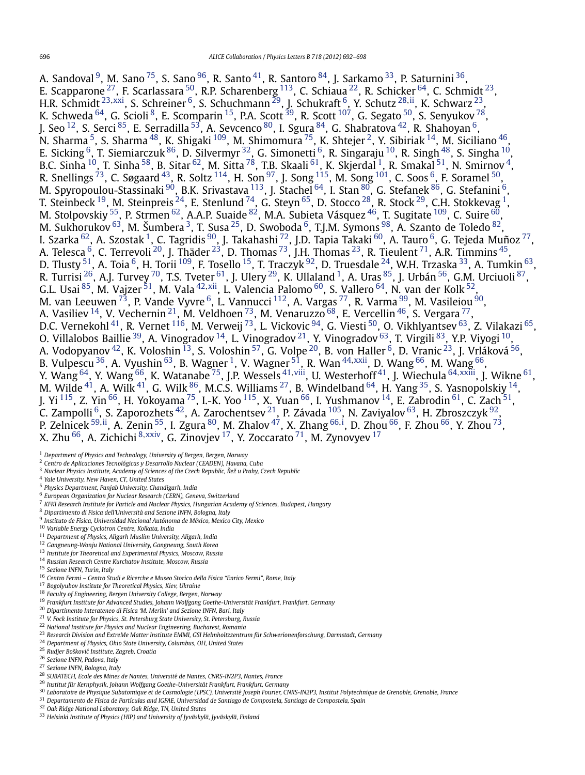<span id="page-4-0"></span>A. Sandoval  $^9$ , M. Sano  $^{75}$ , S. Sano  $^{96}$ , R. Santo  $^{41}$  $^{41}$  $^{41}$ , R. Santoro  $^{84}$ , J. Sarkamo  $^{33}$ , P. Saturnini  $^{36}$ , E. Scapparone  $^{27}$ , F. Scarlassara  $^{50}$ , R.P. Scharenberg  $^{113}$ , C. Schiaua  $^{22}$ , R. Schicker  $^{64}$ , C. Schmidt  $^{23}$ , H.R. Schmidt <sup>23</sup>*,*[xxi](#page-6-0), S. Schreiner 6, S. Schuchmann 29, J. Schukraft 6, Y. Schutz <sup>28</sup>*,*[ii,](#page-6-0) K. Schwarz 23, K. Schweda  $^{64}$ , G. Scioli  $^{8}$ , E. Scomparin  $^{15}$ , P.A. Scott  $^{39}$ , R. Scott  $^{107}$ , G. Segato  $^{50}$ , S. Senyukov  $^{78}$ , J. Seo  $^{12}$ , S. Serci  $^{85}$ , E. Serradilla  $^{53}$ , A. Sevcenco  $^{80}$ , I. Sgura  $^{84}$ , G. Shabratova  $^{42}$ , R. Shahoyan  $^6$ , N. Sharma <sup>5</sup>, S. Sharma  $^{48}$ , K. Shigaki  $^{109}$ , M. Shimomura  $^{75}$ , K. Shtejer  $^2$ , Y. Sibiriak  $^{14}$ , M. Siciliano  $^{46}$ , E. Sicking  $^6$ , T. Siemiarczuk  $^{86}$ , D. Silvermyr  $^{32}$ , G. Simonetti  $^6$ , R. Singaraju  $^{10}$ , R. Singh  $^{48}$ , S. Singha  $^{10}$ , B.C. Sinha  $^{10}$ , T. Sinha  $^{58}$ , B. Sitar  $^{62}$ , M. Sitta  $^{78}$  $^{78}$  $^{78}$ , T.B. Skaali  $^{61}$ , K. Skjerdal  $^1$ , R. Smakal  $^{51}$ , N. Smirnov  $^4$ , R. Snellings  $^{73}$ , C. Søgaard  $^{43}$ , R. Soltz  $^{114}$ , H. Son  $^{97}$ , J. Song  $^{115}$ , M. Song  $^{101}$ , C. Soos  $^6$ , F. Soramel  $^{50}$ , M. Spyropoulou-Stassinaki  $^{90}$ , B.K. Srivastava  $^{113}$  $^{113}$  $^{113}$ , J. Stachel  $^{64}$ , I. Stan  $^{80}$ , G. Stefan $\rm \epsilon$  B.  $^{6}$ , G. Stefanini  $^{6}$ , T. Steinbeck  $^{19}$ , M. Steinpreis  $^{24}$ , E. Stenlund  $^{74}$ , G. Steyn  $^{65}$ , D. Stocco  $^{28}$ , R. Stock  $^{29}$ , C.H. Stokkevag  $^{1},$ M. Stolpovskiy  $^{55}$ , P. Strmen  $^{62}$ , A.A.P. Suaide  $^{82}$ , M.A. Subieta Vásquez  $^{46}$  $^{46}$  $^{46}$ , T. Sugitate  $^{109}$ , C. Suire  $^{60}$ , M. Sukhorukov $^{63}$ , M. Šumbera $^3$ , T. Susa $^{25}$ , D. Swoboda $^6$ , T.J.M. Symons $^{98}$ , A. Szanto de Toledo $^{82}$ , I. Szarka <sup>62</sup>, A. Szostak <sup>1</sup>, C. Tagridis <sup>90</sup>, J. Takahashi <sup>72</sup>, J.D. Tapia Takaki <sup>60</sup>, A. Tauro <sup>6</sup>, G. Tejeda Muñoz <sup>77</sup>, A. Telesca  $^6$ , C. Terrevoli  $^{20}$ , J. Thäder  $^{23}$ , D. Thomas  $^{73}$ , J.H. Thomas  $^{23}$ , R. Tieulent  $^{71}$ , A.R. Timmins  $^{45},$ D. Tlusty  $^{51}$ , A. Toia  $^6$ , H. Torii  $^{109}$ , F. Tosello  $^{15}$ , T. Traczyk  $^{92}$ , D. Truesdale  $^{24}$ , W.H. Trzaska  $^{33}$ , A. Tumkin  $^{63}$ , R. Turrisi <sup>26</sup>, A.J. Turvey <sup>70</sup>, T.S. Tveter <sup>61</sup>, J. Ulery <sup>29</sup>, K. Ullaland <sup>1</sup>, A. Uras <sup>85</sup>, J. Urbán <sup>56</sup>, G.M. Urciuoli <sup>87</sup>, G.L. Usai [85,](#page-5-0) M. Vajzer [51,](#page-5-0) M. Vala [42](#page-5-0)*,*[xii,](#page-6-0) L. Valencia Palomo [60,](#page-5-0) S. Vallero [64,](#page-5-0) N. van der Kolk [52,](#page-5-0) M. van Leeuwen $^{73}$ , P. Vande Vyvre $^6$ , L. Vannucci  $^{112}$ , A. Vargas $^{77}$ , R. Varma $^{99}$ , M. Vasileiou $^{90}$  $^{90}$  $^{90}$ , A. Vasiliev  $^{14}$ , V. Vechernin  $^{21}$ , M. Veldhoen  $^{73}$ , M. Venaruzzo  $^{68}$ , E. Vercellin  $^{46}$  $^{46}$  $^{46}$ , S. Vergara  $^{77},$ D.C. Vernekohl $^{41}$ , R. Vernet $^{116}$ , M. Verweij $^{73}$ , L. Vickovic $^{94}$ , G. Viesti $^{50}$ , O. Vikhlyantsev $^{63}$ , Z. Vilakazi $^{65}$ , O. Villalobos Baillie <sup>39</sup>, A. Vinogradov <sup>14</sup>, L. Vinogradov <sup>21</sup>, Y. Vinogradov <sup>63</sup>, T. Virgili <sup>[83](#page-5-0)</sup>, Y.P. Viyogi <sup>10</sup>, A. Vodopyanov <sup>42</sup>, K. Voloshin <sup>13</sup>, S. Voloshin <sup>[57](#page-5-0)</sup>, G. Volpe <sup>20</sup>, B. von Haller <sup>6</sup>, D. Vranic <sup>23</sup>, J. Vrláková <sup>56</sup>, B. Vulpescu [36,](#page-5-0) A. Vyushin [63](#page-5-0), B. Wagner 1, V. Wagner [51,](#page-5-0) R. Wan [44](#page-5-0)*,*[xxii,](#page-6-0) D. Wang [66,](#page-5-0) M. Wang [66,](#page-5-0) Y. Wang [64,](#page-5-0) Y. Wang [66,](#page-5-0) K. Watanabe [75,](#page-5-0) J.P. Wessels [41](#page-5-0)*,*[viii,](#page-6-0) U. Westerhoff [41,](#page-5-0) J. Wiechula [64](#page-5-0)*,*[xxiii,](#page-6-0) J. Wikne [61,](#page-5-0) M. Wilde  $^{41}$ , A. Wilk  $^{41}$ , G. Wilk  $^{86}$ , M.C.S. Williams  $^{27}$ , B. Windelband  $^{64}$ , H. Yang  $^{35}$ , S. Yasnopolskiy  $^{14}$ , J. Yi <sup>115</sup>, Z. Yin <sup>66</sup>, H. Yokoyama <sup>75</sup>, I.-K. Yoo <sup>115</sup>, X. Yuan <sup>66</sup>, I. Yushmanov <sup>14</sup>, E. Zabrodin <sup>61</sup>, C. Zach <sup>[51](#page-5-0)</sup>, C. Zampolli  $^6$ , S. Zaporozhets  $^{42}$  $^{42}$  $^{42}$ , A. Zarochentsev  $^{21}$ , P. Závada  $^{105}$ , N. Zaviyalov  $^{63}$ , H. Zbroszczyk  $^{92}$ , P. Zelnicek [59](#page-5-0)*,*[ii,](#page-6-0) A. Zenin [55,](#page-5-0) I. Zgura [80,](#page-5-0) M. Zhalov [47,](#page-5-0) X. Zhang [66](#page-5-0)*,*[i](#page-6-0) , D. Zhou [66,](#page-5-0) F. Zhou [66,](#page-5-0) Y. Zhou [73,](#page-5-0) X. Zhu [66,](#page-5-0) A. Zichichi <sup>8</sup>*,*[xxiv](#page-6-0), G. Zinovjev 17, Y. Zoccarato [71,](#page-5-0) M. Zynovyev <sup>17</sup>

<sup>1</sup> *Department of Physics and Technology, University of Bergen, Bergen, Norway*

<sup>2</sup> *Centro de Aplicaciones Tecnológicas y Desarrollo Nuclear (CEADEN), Havana, Cuba*

- <sup>3</sup> *Nuclear Physics Institute, Academy of Sciences of the Czech Republic, Rež u Prahy, Czech Republic ˇ*
- <sup>4</sup> *Yale University, New Haven, CT, United States*
- <sup>5</sup> *Physics Department, Panjab University, Chandigarh, India*
- <sup>6</sup> *European Organization for Nuclear Research (CERN), Geneva, Switzerland*
- <sup>7</sup> *KFKI Research Institute for Particle and Nuclear Physics, Hungarian Academy of Sciences, Budapest, Hungary*
- <sup>8</sup> *Dipartimento di Fisica dell'Università and Sezione INFN, Bologna, Italy*
- <sup>9</sup> *Instituto de Física, Universidad Nacional Autónoma de México, Mexico City, Mexico*
- <sup>10</sup> *Variable Energy Cyclotron Centre, Kolkata, India*
- 
- <sup>11</sup> *Department of Physics, Aligarh Muslim University, Aligarh, India*
- <sup>12</sup> *Gangneung-Wonju National University, Gangneung, South Korea*
- <sup>13</sup> *Institute for Theoretical and Experimental Physics, Moscow, Russia*
- <sup>14</sup> *Russian Research Centre Kurchatov Institute, Moscow, Russia*
- <sup>15</sup> *Sezione INFN, Turin, Italy*
- <sup>16</sup> *Centro Fermi Centro Studi e Ricerche e Museo Storico della Fisica "Enrico Fermi", Rome, Italy*
- <sup>17</sup> *Bogolyubov Institute for Theoretical Physics, Kiev, Ukraine*
- <sup>18</sup> *Faculty of Engineering, Bergen University College, Bergen, Norway*
- <sup>19</sup> *Frankfurt Institute for Advanced Studies, Johann Wolfgang Goethe-Universität Frankfurt, Frankfurt, Germany*
- <sup>20</sup> *Dipartimento Interateneo di Fisica 'M. Merlin' and Sezione INFN, Bari, Italy*
- <sup>21</sup> *V. Fock Institute for Physics, St. Petersburg State University, St. Petersburg, Russia*
- <sup>22</sup> *National Institute for Physics and Nuclear Engineering, Bucharest, Romania*
- <sup>23</sup> *Research Division and ExtreMe Matter Institute EMMI, GSI Helmholtzzentrum für Schwerionenforschung, Darmstadt, Germany*
- <sup>24</sup> *Department of Physics, Ohio State University, Columbus, OH, United States*
- <sup>25</sup> *Rudjer Boškovi´c Institute, Zagreb, Croatia*
- <sup>26</sup> *Sezione INFN, Padova, Italy*
- <sup>27</sup> *Sezione INFN, Bologna, Italy*
- <sup>28</sup> *SUBATECH, Ecole des Mines de Nantes, Université de Nantes, CNRS-IN2P3, Nantes, France*
- <sup>29</sup> *Institut für Kernphysik, Johann Wolfgang Goethe-Universität Frankfurt, Frankfurt, Germany*
- <sup>30</sup> *Laboratoire de Physique Subatomique et de Cosmologie (LPSC), Université Joseph Fourier, CNRS-IN2P3, Institut Polytechnique de Grenoble, Grenoble, France*
- <sup>31</sup> *Departamento de Física de Partículas and IGFAE, Universidad de Santiago de Compostela, Santiago de Compostela, Spain*
- <sup>32</sup> *Oak Ridge National Laboratory, Oak Ridge, TN, United States*
- <sup>33</sup> *Helsinki Institute of Physics (HIP) and University of Jyväskylä, Jyväskylä, Finland*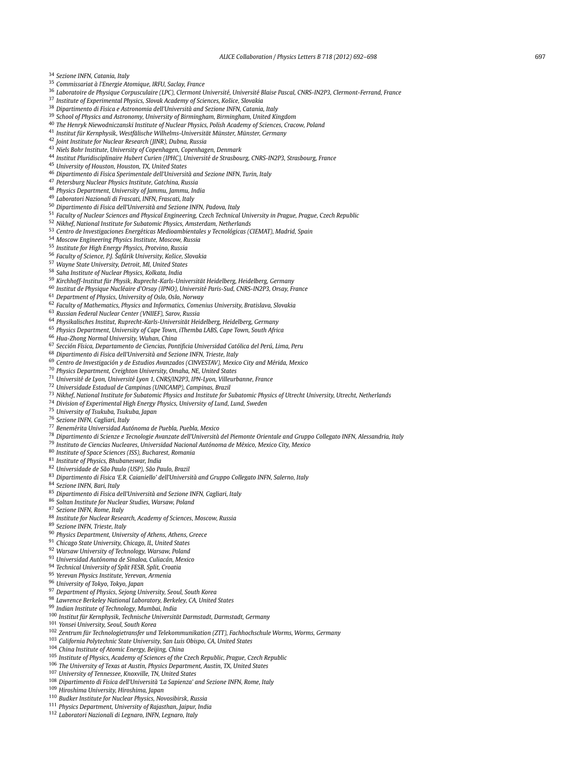<span id="page-5-0"></span>*Sezione INFN, Catania, Italy*

- *Commissariat à l'Energie Atomique, IRFU, Saclay, France*
- *Laboratoire de Physique Corpusculaire (LPC), Clermont Université, Université Blaise Pascal, CNRS-IN2P3, Clermont-Ferrand, France*
- *Institute of Experimental Physics, Slovak Academy of Sciences, Košice, Slovakia*
- *Dipartimento di Fisica e Astronomia dell'Università and Sezione INFN, Catania, Italy*
- *School of Physics and Astronomy, University of Birmingham, Birmingham, United Kingdom*
- *The Henryk Niewodniczanski Institute of Nuclear Physics, Polish Academy of Sciences, Cracow, Poland*
- *Institut für Kernphysik, Westfälische Wilhelms-Universität Münster, Münster, Germany*
- *Joint Institute for Nuclear Research (JINR), Dubna, Russia*
- *Niels Bohr Institute, University of Copenhagen, Copenhagen, Denmark*
- *Institut Pluridisciplinaire Hubert Curien (IPHC), Université de Strasbourg, CNRS-IN2P3, Strasbourg, France*
- *University of Houston, Houston, TX, United States*
- *Dipartimento di Fisica Sperimentale dell'Università and Sezione INFN, Turin, Italy*
- *Petersburg Nuclear Physics Institute, Gatchina, Russia*
- *Physics Department, University of Jammu, Jammu, India*
- *Laboratori Nazionali di Frascati, INFN, Frascati, Italy*
- *Dipartimento di Fisica dell'Università and Sezione INFN, Padova, Italy*
- *Faculty of Nuclear Sciences and Physical Engineering, Czech Technical University in Prague, Prague, Czech Republic*
- *Nikhef, National Institute for Subatomic Physics, Amsterdam, Netherlands*
- *Centro de Investigaciones Energéticas Medioambientales y Tecnológicas (CIEMAT), Madrid, Spain*
- *Moscow Engineering Physics Institute, Moscow, Russia*
- *Institute for High Energy Physics, Protvino, Russia*
- *Faculty of Science, P.J. Šafárik University, Košice, Slovakia*
- *Wayne State University, Detroit, MI, United States*
- *Saha Institute of Nuclear Physics, Kolkata, India*

## *Kirchhoff-Institut für Physik, Ruprecht-Karls-Universität Heidelberg, Heidelberg, Germany*

- *Institut de Physique Nucléaire d'Orsay (IPNO), Université Paris-Sud, CNRS-IN2P3, Orsay, France*
- *Department of Physics, University of Oslo, Oslo, Norway*
- *Faculty of Mathematics, Physics and Informatics, Comenius University, Bratislava, Slovakia*
- *Russian Federal Nuclear Center (VNIIEF), Sarov, Russia*
- *Physikalisches Institut, Ruprecht-Karls-Universität Heidelberg, Heidelberg, Germany*
- *Physics Department, University of Cape Town, iThemba LABS, Cape Town, South Africa*
- *Hua-Zhong Normal University, Wuhan, China*
- *Sección Física, Departamento de Ciencias, Pontificia Universidad Católica del Perú, Lima, Peru*
- *Dipartimento di Fisica dell'Università and Sezione INFN, Trieste, Italy*
- *Centro de Investigación y de Estudios Avanzados (CINVESTAV), Mexico City and Mérida, Mexico*
- *Physics Department, Creighton University, Omaha, NE, United States*
- *Université de Lyon, Université Lyon 1, CNRS/IN2P3, IPN-Lyon, Villeurbanne, France*
- *Universidade Estadual de Campinas (UNICAMP), Campinas, Brazil*
- *Nikhef, National Institute for Subatomic Physics and Institute for Subatomic Physics of Utrecht University, Utrecht, Netherlands*
- *Division of Experimental High Energy Physics, University of Lund, Lund, Sweden*
- *University of Tsukuba, Tsukuba, Japan*
- *Sezione INFN, Cagliari, Italy*
- *Benemérita Universidad Autónoma de Puebla, Puebla, Mexico*
- *Dipartimento di Scienze e Tecnologie Avanzate dell'Università del Piemonte Orientale and Gruppo Collegato INFN, Alessandria, Italy*
- *Instituto de Ciencias Nucleares, Universidad Nacional Autónoma de México, Mexico City, Mexico*
- *Institute of Space Sciences (ISS), Bucharest, Romania*
- *Institute of Physics, Bhubaneswar, India*
- *Universidade de São Paulo (USP), São Paulo, Brazil*
- *Dipartimento di Fisica 'E.R. Caianiello' dell'Università and Gruppo Collegato INFN, Salerno, Italy*
- *Sezione INFN, Bari, Italy*
- *Dipartimento di Fisica dell'Università and Sezione INFN, Cagliari, Italy*
- *Soltan Institute for Nuclear Studies, Warsaw, Poland*
- *Sezione INFN, Rome, Italy*
- *Institute for Nuclear Research, Academy of Sciences, Moscow, Russia*
- *Sezione INFN, Trieste, Italy*
- *Physics Department, University of Athens, Athens, Greece*
- *Chicago State University, Chicago, IL, United States*
- *Warsaw University of Technology, Warsaw, Poland*
- *Universidad Autónoma de Sinaloa, Culiacán, Mexico*
- *Technical University of Split FESB, Split, Croatia*
- *Yerevan Physics Institute, Yerevan, Armenia*
- *University of Tokyo, Tokyo, Japan*
- *Department of Physics, Sejong University, Seoul, South Korea*
- *Lawrence Berkeley National Laboratory, Berkeley, CA, United States*
- *Indian Institute of Technology, Mumbai, India*
- *Institut für Kernphysik, Technische Universität Darmstadt, Darmstadt, Germany*
- *Yonsei University, Seoul, South Korea*
- *Zentrum für Technologietransfer und Telekommunikation (ZTT), Fachhochschule Worms, Worms, Germany*
- *California Polytechnic State University, San Luis Obispo, CA, United States*
- *China Institute of Atomic Energy, Beijing, China*
- *Institute of Physics, Academy of Sciences of the Czech Republic, Prague, Czech Republic*
- *The University of Texas at Austin, Physics Department, Austin, TX, United States*
- *University of Tennessee, Knoxville, TN, United States*
- *Dipartimento di Fisica dell'Università 'La Sapienza' and Sezione INFN, Rome, Italy*
- *Hiroshima University, Hiroshima, Japan*
- *Budker Institute for Nuclear Physics, Novosibirsk, Russia*
- *Physics Department, University of Rajasthan, Jaipur, India*
- *Laboratori Nazionali di Legnaro, INFN, Legnaro, Italy*